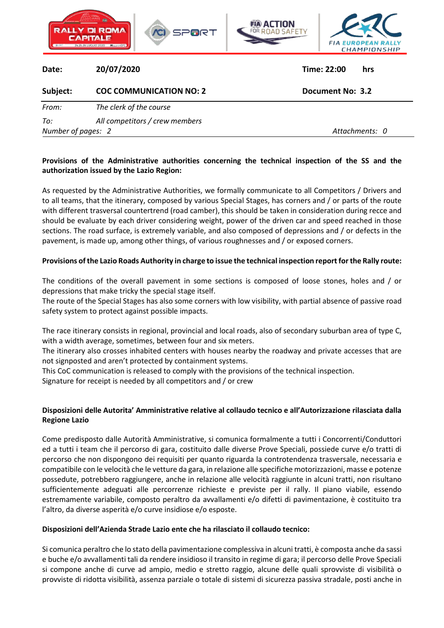

## **Provisions of the Administrative authorities concerning the technical inspection of the SS and the authorization issued by the Lazio Region:**

As requested by the Administrative Authorities, we formally communicate to all Competitors / Drivers and to all teams, that the itinerary, composed by various Special Stages, has corners and / or parts of the route with different trasversal countertrend (road camber), this should be taken in consideration during recce and should be evaluate by each driver considering weight, power of the driven car and speed reached in those sections. The road surface, is extremely variable, and also composed of depressions and / or defects in the pavement, is made up, among other things, of various roughnesses and / or exposed corners.

## **Provisions of the Lazio Roads Authority in charge to issue the technical inspection report for the Rally route:**

The conditions of the overall pavement in some sections is composed of loose stones, holes and / or depressions that make tricky the special stage itself.

The route of the Special Stages has also some corners with low visibility, with partial absence of passive road safety system to protect against possible impacts.

The race itinerary consists in regional, provincial and local roads, also of secondary suburban area of type C, with a width average, sometimes, between four and six meters.

The itinerary also crosses inhabited centers with houses nearby the roadway and private accesses that are not signposted and aren't protected by containment systems.

This CoC communication is released to comply with the provisions of the technical inspection. Signature for receipt is needed by all competitors and / or crew

## **Disposizioni delle Autorita' Amministrative relative al collaudo tecnico e all'Autorizzazione rilasciata dalla Regione Lazio**

Come predisposto dalle Autorità Amministrative, si comunica formalmente a tutti i Concorrenti/Conduttori ed a tutti i team che il percorso di gara, costituito dalle diverse Prove Speciali, possiede curve e/o tratti di percorso che non dispongono dei requisiti per quanto riguarda la controtendenza trasversale, necessaria e compatibile con le velocità che le vetture da gara, in relazione alle specifiche motorizzazioni, masse e potenze possedute, potrebbero raggiungere, anche in relazione alle velocità raggiunte in alcuni tratti, non risultano sufficientemente adeguati alle percorrenze richieste e previste per il rally. Il piano viabile, essendo estremamente variabile, composto peraltro da avvallamenti e/o difetti di pavimentazione, è costituito tra l'altro, da diverse asperità e/o curve insidiose e/o esposte.

## **Disposizioni dell'Azienda Strade Lazio ente che ha rilasciato il collaudo tecnico:**

Si comunica peraltro che lo stato della pavimentazione complessiva in alcuni tratti, è composta anche da sassi e buche e/o avvallamenti tali da rendere insidioso il transito in regime di gara; il percorso delle Prove Speciali si compone anche di curve ad ampio, medio e stretto raggio, alcune delle quali sprovviste di visibilità o provviste di ridotta visibilità, assenza parziale o totale di sistemi di sicurezza passiva stradale, posti anche in